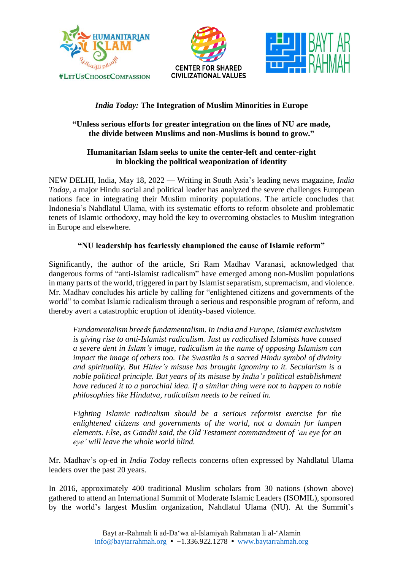





## *India Today:* **The Integration of Muslim Minorities in Europe**

#### **"Unless serious efforts for greater integration on the lines of NU are made, the divide between Muslims and non-Muslims is bound to grow."**

#### **Humanitarian Islam seeks to unite the center-left and center-right in blocking the political weaponization of identity**

NEW DELHI, India, May 18, 2022 — Writing in South Asia's leading news magazine, *India Today*, a major Hindu social and political leader has analyzed the severe challenges European nations face in integrating their Muslim minority populations. The article concludes that Indonesia's Nahdlatul Ulama, with its systematic efforts to reform obsolete and problematic tenets of Islamic orthodoxy, may hold the key to overcoming obstacles to Muslim integration in Europe and elsewhere.

### **"NU leadership has fearlessly championed the cause of Islamic reform"**

Significantly, the author of the article, Sri Ram Madhav Varanasi, acknowledged that dangerous forms of "anti-Islamist radicalism" have emerged among non-Muslim populations in many parts of the world, triggered in part by Islamist separatism, supremacism, and violence. Mr. Madhav concludes his article by calling for "enlightened citizens and governments of the world" to combat Islamic radicalism through a serious and responsible program of reform, and thereby avert a catastrophic eruption of identity-based violence.

*Fundamentalism breeds fundamentalism. In India and Europe, Islamist exclusivism is giving rise to anti-Islamist radicalism. Just as radicalised Islamists have caused a severe dent in Islam's image, radicalism in the name of opposing Islamism can impact the image of others too. The Swastika is a sacred Hindu symbol of divinity and spirituality. But Hitler's misuse has brought ignominy to it. Secularism is a noble political principle. But years of its misuse by India's political establishment have reduced it to a parochial idea. If a similar thing were not to happen to noble philosophies like Hindutva, radicalism needs to be reined in.*

*Fighting Islamic radicalism should be a serious reformist exercise for the enlightened citizens and governments of the world, not a domain for lumpen elements. Else, as Gandhi said, the Old Testament commandment of 'an eye for an eye' will leave the whole world blind.*

Mr. Madhav's op-ed in *India Today* reflects concerns often expressed by Nahdlatul Ulama leaders over the past 20 years.

In 2016, approximately 400 traditional Muslim scholars from 30 nations (shown above) gathered to attend an International Summit of Moderate Islamic Leaders (ISOMIL), sponsored by the world's largest Muslim organization, Nahdlatul Ulama (NU). At the Summit's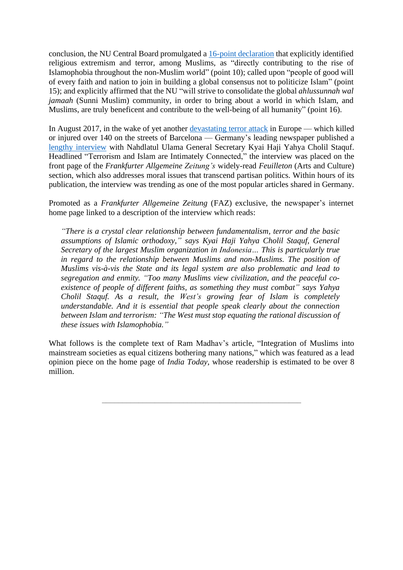conclusion, the NU Central Board promulgated a 16-point [declaration](https://www.baytarrahmah.org/media/2016/Nahdlatul-Ulama-Declaration_05-10-16.pdf) that explicitly identified religious extremism and terror, among Muslims, as "directly contributing to the rise of Islamophobia throughout the non-Muslim world" (point 10); called upon "people of good will of every faith and nation to join in building a global consensus not to politicize Islam" (point 15); and explicitly affirmed that the NU "will strive to consolidate the global *ahlussunnah wal jamaah* (Sunni Muslim) community, in order to bring about a world in which Islam, and Muslims, are truly beneficent and contribute to the well-being of all humanity" (point 16).

In August 2017, in the wake of yet another [devastating](http://www.baytarrahmah.org/media/2017/news.com.au_he-looked-like-my-son_08-20-17.pdf) terror attack in Europe — which killed or injured over 140 on the streets of Barcelona — Germany's leading newspaper published a lengthy [interview](http://www.baytarrahmah.org/media/2017/FAZ_A-Conversation-with-Kyai-Haji-Yahya-Cholil-Staquf_08-19-17.pdf) with Nahdlatul Ulama General Secretary Kyai Haji Yahya Cholil Staquf. Headlined "Terrorism and Islam are Intimately Connected," the interview was placed on the front page of the *Frankfurter Allgemeine Zeitung's* widely-read *Feuilleton* (Arts and Culture) section, which also addresses moral issues that transcend partisan politics. Within hours of its publication, the interview was trending as one of the most popular articles shared in Germany.

Promoted as a *Frankfurter Allgemeine Zeitung* (FAZ) exclusive, the newspaper's internet home page linked to a description of the interview which reads:

*"There is a crystal clear relationship between fundamentalism, terror and the basic assumptions of Islamic orthodoxy," says Kyai Haji Yahya Cholil Staquf, General Secretary of the largest Muslim organization in Indonesia… This is particularly true in regard to the relationship between Muslims and non-Muslims. The position of Muslims vis-à-vis the State and its legal system are also problematic and lead to segregation and enmity. "Too many Muslims view civilization, and the peaceful coexistence of people of different faiths, as something they must combat" says Yahya Cholil Staquf. As a result, the West's growing fear of Islam is completely understandable. And it is essential that people speak clearly about the connection between Islam and terrorism: "The West must stop equating the rational discussion of these issues with Islamophobia."*

What follows is the complete text of Ram Madhav's article, "Integration of Muslims into mainstream societies as equal citizens bothering many nations," which was featured as a lead opinion piece on the home page of *India Today*, whose readership is estimated to be over 8 million.

\_\_\_\_\_\_\_\_\_\_\_\_\_\_\_\_\_\_\_\_\_\_\_\_\_\_\_\_\_\_\_\_\_\_\_\_\_\_\_\_\_\_\_\_\_\_\_\_\_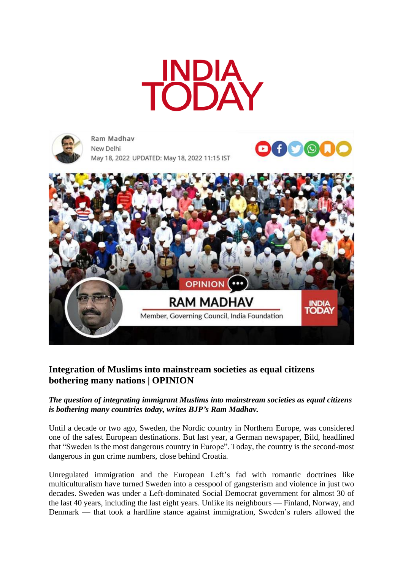

 $\odot$ 



Ram Madhay New Delhi May 18, 2022 UPDATED: May 18, 2022 11:15 IST



# **Integration of Muslims into mainstream societies as equal citizens bothering many nations | OPINION**

#### *The question of integrating immigrant Muslims into mainstream societies as equal citizens is bothering many countries today, writes BJP's Ram Madhav.*

Until a decade or two ago, Sweden, the Nordic country in Northern Europe, was considered one of the safest European destinations. But last year, a German newspaper, Bild, headlined that "Sweden is the most dangerous country in Europe". Today, the country is the second-most dangerous in gun crime numbers, close behind Croatia.

Unregulated immigration and the European Left's fad with romantic doctrines like multiculturalism have turned Sweden into a cesspool of gangsterism and violence in just two decades. Sweden was under a Left-dominated Social Democrat government for almost 30 of the last 40 years, including the last eight years. Unlike its neighbours — Finland, Norway, and Denmark — that took a hardline stance against immigration, Sweden's rulers allowed the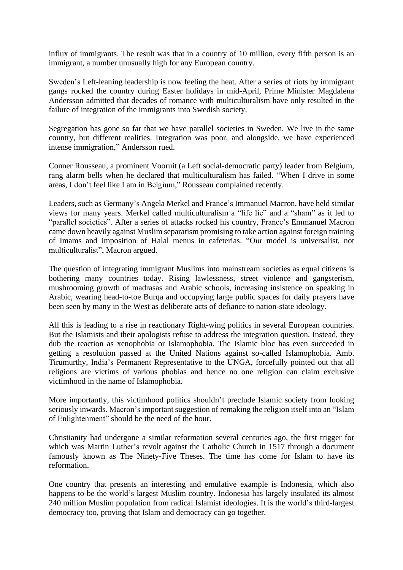influx of immigrants. The result was that in a country of 10 million, every fifth person is an immigrant, a number unusually high for any European country.

Sweden's Left-leaning leadership is now feeling the heat. After a series of riots by immigrant gangs rocked the country during Easter holidays in mid-April, Prime Minister Magdalena Andersson admitted that decades of romance with multiculturalism have only resulted in the failure of integration of the immigrants into Swedish society.

Segregation has gone so far that we have parallel societies in Sweden. We live in the same country, but different realities. Integration was poor, and alongside, we have experienced intense immigration," Andersson rued.

Conner Rousseau, a prominent Vooruit (a Left social-democratic party) leader from Belgium, rang alarm bells when he declared that multiculturalism has failed. "When I drive in some areas, I don't feel like I am in Belgium," Rousseau complained recently.

Leaders, such as Germany's Angela Merkel and France's Immanuel Macron, have held similar views for many years. Merkel called multiculturalism a "life lie" and a "sham" as it led to "parallel societies". After a series of attacks rocked his country, France's Emmanuel Macron came down heavily against Muslim separatism promising to take action against foreign training of Imams and imposition of Halal menus in cafeterias. "Our model is universalist, not multiculturalist", Macron argued.

The question of integrating immigrant Muslims into mainstream societies as equal citizens is bothering many countries today. Rising lawlessness, street violence and gangsterism, mushrooming growth of madrasas and Arabic schools, increasing insistence on speaking in Arabic, wearing head-to-toe Burqa and occupying large public spaces for daily prayers have been seen by many in the West as deliberate acts of defiance to nation-state ideology.

All this is leading to a rise in reactionary Right-wing politics in several European countries. But the Islamists and their apologists refuse to address the integration question. Instead, they dub the reaction as xenophobia or Islamophobia. The Islamic bloc has even succeeded in getting a resolution passed at the United Nations against so-called Islamophobia. Amb. Tirumurthy, India's Permanent Representative to the UNGA, forcefully pointed out that all religions are victims of various phobias and hence no one religion can claim exclusive victimhood in the name of Islamophobia.

More importantly, this victimhood politics shouldn't preclude Islamic society from looking seriously inwards. Macron's important suggestion of remaking the religion itself into an "Islam of Enlightenment" should be the need of the hour.

Christianity had undergone a similar reformation several centuries ago, the first trigger for which was Martin Luther's revolt against the Catholic Church in 1517 through a document famously known as The Ninety-Five Theses. The time has come for Islam to have its reformation.

One country that presents an interesting and emulative example is Indonesia, which also happens to be the world's largest Muslim country. Indonesia has largely insulated its almost 240 million Muslim population from radical Islamist ideologies. It is the world's third-largest democracy too, proving that Islam and democracy can go together.